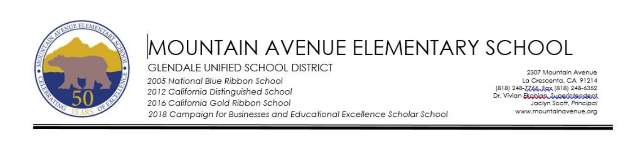

# MOUNTAIN AVENUE ELEMENTARY SCHOOL **GLENDALE UNIFIED SCHOOL DISTRICT** 2005 National Blue Ribbon School

2012 California Distinguished School 2016 California Gold Ribbon School

2307 Mountain Avenue La Crescenta, CA 91214 (818) 248-7766, Eqx (818) 248-6352 Dr. Vivian Ekobian Superintendent Jaclyn Scott, Principal www.mountainavenue.org

2018 Campaian for Businesses and Educational Excellence Scholar School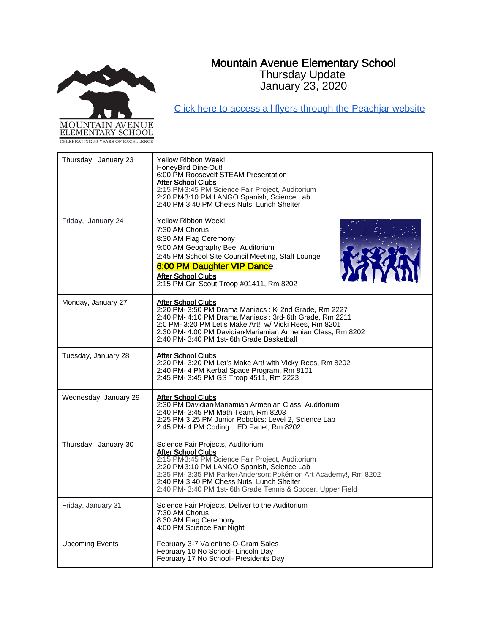# Mountain Avenue Elementary School Thursday Update

January 23, 2020



[Click here to access all flyers through the Peachjar website](https://app.peachjar.com/flyers/all/schools/55122)

| Thursday, January 23   | Yellow Ribbon Week!<br>HoneyBird Dine-Out!<br>6:00 PM Roosevelt STEAM Presentation<br>After School Clubs<br>2:15 PM3:45 PM Science Fair Project, Auditorium<br>2:20 PM3:10 PM LANGO Spanish, Science Lab<br>2:40 PM 3:40 PM Chess Nuts, Lunch Shelter                                                                                      |
|------------------------|--------------------------------------------------------------------------------------------------------------------------------------------------------------------------------------------------------------------------------------------------------------------------------------------------------------------------------------------|
| Friday, January 24     | Yellow Ribbon Week!<br>7:30 AM Chorus<br>8:30 AM Flag Ceremony<br>9:00 AM Geography Bee, Auditorium<br>2:45 PM School Site Council Meeting, Staff Lounge<br>6:00 PM Daughter VIP Dance<br>After School Clubs<br>2:15 PM Girl Scout Troop #01411, Rm 8202                                                                                   |
| Monday, January 27     | After School Clubs<br>2:20 PM- 3:50 PM Drama Maniacs: K-2nd Grade, Rm 2227<br>2:40 PM- 4:10 PM Drama Maniacs: 3rd- 6th Grade, Rm 2211<br>2:0 PM-3:20 PM Let's Make Art! w/ Vicki Rees, Rm 8201<br>2:30 PM- 4:00 PM Davidian-Mariamian Armenian Class, Rm 8202<br>2:40 PM- 3:40 PM 1st- 6th Grade Basketball                                |
| Tuesday, January 28    | <b>After School Clubs</b><br>2:20 PM-3:20 PM Let's Make Art! with Vicky Rees, Rm 8202<br>2:40 PM- 4 PM Kerbal Space Program, Rm 8101<br>2:45 PM- 3:45 PM GS Troop 4511, Rm 2223                                                                                                                                                            |
| Wednesday, January 29  | After School Clubs<br>2:30 PM Davidian-Mariamian Armenian Class, Auditorium<br>2:40 PM- 3:45 PM Math Team. Rm 8203<br>2:25 PM 3:25 PM Junior Robotics: Level 2, Science Lab<br>2:45 PM- 4 PM Coding: LED Panel, Rm 8202                                                                                                                    |
| Thursday, January 30   | Science Fair Projects, Auditorium<br><b>After School Clubs</b><br>2:15 PM3:45 PM Science Fair Project, Auditorium<br>2:20 PM3:10 PM LANGO Spanish, Science Lab<br>2:35 PM-3:35 PM ParkerAnderson: Pokémon Art Academy!, Rm 8202<br>2:40 PM 3:40 PM Chess Nuts, Lunch Shelter<br>2:40 PM-3:40 PM 1st-6th Grade Tennis & Soccer, Upper Field |
| Friday, January 31     | Science Fair Projects, Deliver to the Auditorium<br>7:30 AM Chorus<br>8:30 AM Flag Ceremony<br>4:00 PM Science Fair Night                                                                                                                                                                                                                  |
| <b>Upcoming Events</b> | February 3-7 Valentine-O-Gram Sales<br>February 10 No School- Lincoln Day<br>February 17 No School- Presidents Day                                                                                                                                                                                                                         |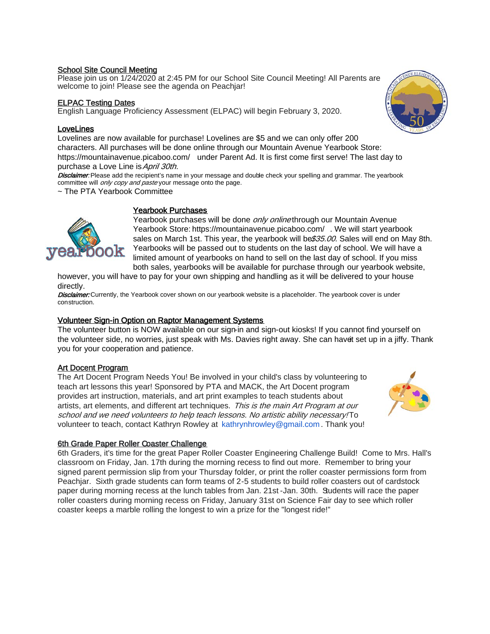### School Site Council Meeting

Please join us on 1/24/2020 at 2:45 PM for our School Site Council Meeting! All Parents are welcome to join! Please see the agenda on Peachjar!

## ELPAC Testing Dates

English Language Proficiency Assessment (ELPAC) will begin February 3, 2020.

### **LoveLines**

Lovelines are now available for purchase! Lovelines are \$5 and we can only offer 200 characters. All purchases will be done online through our Mountain Avenue Yearbook Store: <https://mountainavenue.picaboo.com/> under Parent Ad. It is first come first serve! The last day to purchase a Love Line is April 30th.

Disclaimer: Please add the recipient's name in your message and double check your spelling and grammar. The yearbook committee will *only copy and paste* your message onto the page.

~ The PTA Yearbook Committee



# Yearbook Purchases

Yearbook purchases will be done *only online* through our Mountain Avenue Yearbook Store[: https://mountainavenue.picaboo.com/](https://mountainavenue.picaboo.com/) . We will start yearbook sales on March 1st. This year, the yearbook will be \$35.00. Sales will end on May 8th. Yearbooks will be passed out to students on the last day of school. We will have a limited amount of yearbooks on hand to sell on the last day of school. If you miss both sales, yearbooks will be available for purchase through our yearbook website,

however, you will have to pay for your own shipping and handling as it will be delivered to your house directly.

Disclaimer: Currently, the Yearbook cover shown on our yearbook website is a placeholder. The yearbook cover is under construction.

# Volunteer Sign-in Option on Raptor Management Systems

The volunteer button is NOW available on our sign-in and sign-out kiosks! If you cannot find yourself on the volunteer side, no worries, just speak with Ms. Davies right away. She can havet set up in a jiffy. Thank you for your cooperation and patience.

# Art Docent Program

The Art Docent Program Needs You! Be involved in your child's class by volunteering to teach art lessons this year! Sponsored by PTA and MACK, the Art Docent program provides art instruction, materials, and art print examples to teach students about artists, art elements, and different art techniques. This is the main Art Program at our school and we need volunteers to help teach lessons. No artistic ability necessary! To volunteer to teach, contact Kathryn Rowley at kathrynhrowley@gmail.com . Thank you!



### 6th Grade Paper Roller Coaster Challenge

6th Graders, it's time for the great Paper Roller Coaster Engineering Challenge Build! Come to Mrs. Hall's classroom on Friday, Jan. 17th during the morning recess to find out more. Remember to bring your signed parent permission slip from your Thursday folder, or print the roller coaster permissions form from Peachjar. Sixth grade students can form teams of 2-5 students to build roller coasters out of cardstock paper during morning recess at the lunch tables from Jan. 21st -Jan. 30th. Students will race the paper roller coasters during morning recess on Friday, January 31st on Science Fair day to see which roller coaster keeps a marble rolling the longest to win a prize for the "longest ride!"

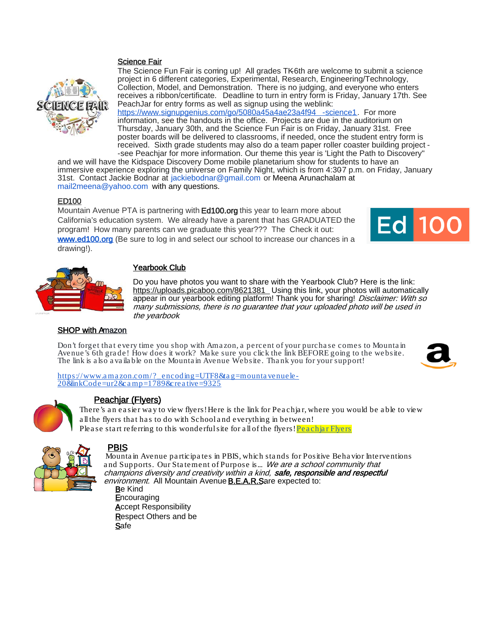# Science Fair



The Science Fun Fair is coming up! All grades TK6th are welcome to submit a science project in 6 different categories, Experimental, Research, Engineering/Technology, Collection, Model, and Demonstration. There is no judging, and everyone who enters receives a ribbon/certificate. Deadline to turn in entry form is Friday, January 17th. See PeachJar for entry forms as well as signup using the weblink:

[https://www.signupgenius.com/go/5080a45a4ae23a4f94](https://www.signupgenius.com/go/5080a45a4ae23a4f94-science1) -science1. For more information, see the handouts in the office. Projects are due in the auditorium on Thursday, January 30th, and the Science Fun Fair is on Friday, January 31st. Free poster boards will be delivered to classrooms, if needed, once the student entry form is received. Sixth grade students may also do a team paper roller coaster building project - -see Peachjar for more information. Our theme this year is 'Light the Path to Discovery"

and we will have the Kidspace Discovery Dome mobile planetarium show for students to have an immersive experience exploring the universe on Family Night, which is from 4:307 p.m. on Friday, January 31st. Contact Jackie Bodnar at jackiebodnar@gmail.com or Meena Arunachalam at mail2meena@yahoo.com with any questions.

### ED100

Mountain Avenue PTA is partnering with Ed100.org this year to learn more about California's education system. We already have a parent that has GRADUATED the program! How many parents can we graduate this year??? The Check it out: [www.ed100.org](http://www.ed100.org/) (Be sure to log in and select our school to increase our chances in a drawing!).





# Yearbook Club

Do you have photos you want to share with the Yearbook Club? Here is the link: <https://uploads.picaboo.com/8621381>\_Using this link, your photos will automatically appear in our yearbook editing platform! Thank you for sharing! Disclaimer: With so many submissions, there is no guarantee that your uploaded photo will be used in the yearboo*k*

# **SHOP with Amazon**

Don't forget that every time you shop with Amazon, a percent of your purchase comes to Mountain Avenue's 6th gra de! How does it work? Ma ke sure you click the link BEFORE going to the website. The link is also a vailable on the Mountain Avenue Website. Thank you for your support!



[https://www.a ma zon.com/?\\_encoding=UTF8&ta g=mounta venuele](https://www.amazon.com/?_encoding=UTF8&tag=mountavenuele-20&linkCode=ur2&camp=1789&creative=9325) - 20&linkCode=ur2&ca mp=1789&creative=9325



# Peachjar (Flyers)

There's an easier way to view flyers! Here is the link for Peachjar, where you would be able to view all the flyers that has to do with School and everything in between! Please start referring to this wonderful site for all of the flyers! Peachiar Flyers



### PBIS

Mounta in Avenue pa rticipa tes in PBIS, which sta nds for Positive Beha vior Interventions and Supports. Our Statement of Purpose is... We are a school community that champions diversity and creativity within a kind, safe, responsible and respectful environment. All Mountain Avenue **B.E.A.R.S**are expected to:

Be Kind **Encouraging Accept Responsibility** Respect Others and be **Safe**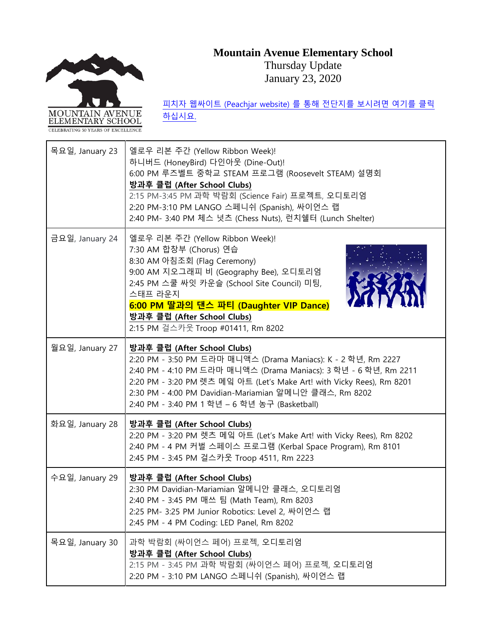# **Mountain Avenue Elementary School**



Thursday Update January 23, 2020

| 목요일, January 23 | 엘로우 리본 주간 (Yellow Ribbon Week)!<br>하니버드 (HoneyBird) 다인아웃 (Dine-Out)!<br>6:00 PM 루즈벨트 중학교 STEAM 프로그램 (Roosevelt STEAM) 설명회<br>방과후 클럽 (After School Clubs)<br>2:15 PM-3:45 PM 과학 박람회 (Science Fair) 프로젝트, 오디토리엄<br>2:20 PM-3:10 PM LANGO 스페니쉬 (Spanish), 싸이언스 랩<br>2:40 PM- 3:40 PM 체스 넛츠 (Chess Nuts), 런치쉘터 (Lunch Shelter)                           |
|-----------------|------------------------------------------------------------------------------------------------------------------------------------------------------------------------------------------------------------------------------------------------------------------------------------------------------------------------------------------------------|
| 금요일, January 24 | 엘로우 리본 주간 (Yellow Ribbon Week)!<br>7:30 AM 합창부 (Chorus) 연습<br>8:30 AM 아침조회 (Flag Ceremony)<br>9:00 AM 지오그래피 비 (Geography Bee), 오디토리엄<br>2:45 PM 스쿨 싸잇 카운슬 (School Site Council) 미팅,<br>스태프 라운지<br>6:00 PM 딸과의 댄스 파티 (Daughter VIP Dance)<br>방과후 클럽 (After School Clubs)<br>2:15 PM 걸스카웃 Troop #01411, Rm 8202                                        |
| 월요일, January 27 | 방과후 클럽 (After School Clubs)<br>2:20 PM - 3:50 PM 드라마 매니액스 (Drama Maniacs): K - 2 학년, Rm 2227<br>2:40 PM - 4:10 PM 드라마 매니액스 (Drama Maniacs): 3 학년 - 6 학년, Rm 2211<br>2:20 PM - 3:20 PM 렛츠 메잌 아트 (Let's Make Art! with Vicky Rees), Rm 8201<br>2:30 PM - 4:00 PM Davidian-Mariamian 알메니안 클래스, Rm 8202<br>2:40 PM - 3:40 PM 1 학년 - 6 학년 농구 (Basketball) |
| 화요일, January 28 | 방과후 클럽 (After School Clubs)<br>2:20 PM - 3:20 PM 렛츠 메잌 아트 (Let's Make Art! with Vicky Rees), Rm 8202<br>2:40 PM - 4 PM 커벌 스페이스 프로그램 (Kerbal Space Program), Rm 8101<br>2:45 PM - 3:45 PM 걸스카웃 Troop 4511, Rm 2223                                                                                                                                    |
| 수요일, January 29 | 방과후 클럽 (After School Clubs)<br>2:30 PM Davidian-Mariamian 알메니안 클래스, 오디토리엄<br>2:40 PM - 3:45 PM 매쓰 팀 (Math Team), Rm 8203<br>2:25 PM- 3:25 PM Junior Robotics: Level 2, 싸이언스 랩<br>2:45 PM - 4 PM Coding: LED Panel, Rm 8202                                                                                                                           |
| 목요일, January 30 | 과학 박람회 (싸이언스 페어) 프로젝, 오디토리엄<br>방과후 클럽 (After School Clubs)<br>2:15 PM - 3:45 PM 과학 박람회 (싸이언스 페어) 프로젝, 오디토리엄<br>2:20 PM - 3:10 PM LANGO 스페니쉬 (Spanish), 싸이언스 랩                                                                                                                                                                                        |

피치자 웹싸이트 [\(Peachjar website\)](https://app.peachjar.com/flyers/all/schools/55122) 를 통해 전단지를 보시려면 여기를 클릭 [하십시요](https://app.peachjar.com/flyers/all/schools/55122).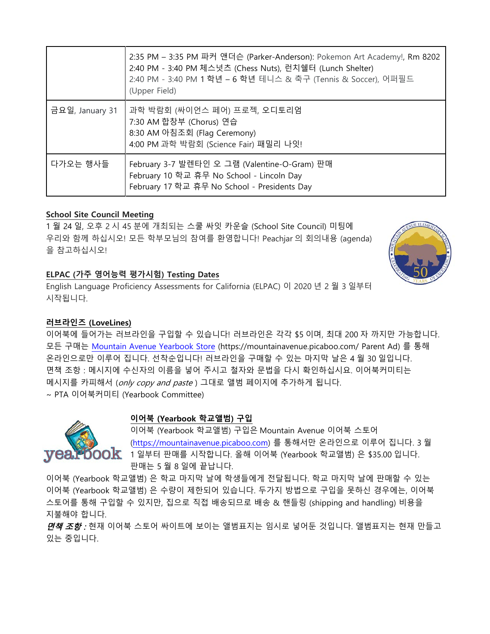|                 | 2:35 PM - 3:35 PM 파커 앤더슨 (Parker-Anderson): Pokemon Art Academy!, Rm 8202<br>2:40 PM - 3:40 PM 체스넛츠 (Chess Nuts), 런치쉘터 (Lunch Shelter)<br>2:40 PM - 3:40 PM 1 학년 - 6 학년 테니스 & 축구 (Tennis & Soccer), 어퍼필드<br>(Upper Field) |
|-----------------|---------------------------------------------------------------------------------------------------------------------------------------------------------------------------------------------------------------------------|
| 금요일, January 31 | 과학 박람회 (싸이언스 페어) 프로젝, 오디토리엄<br>7:30 AM 합창부 (Chorus) 연습<br>8:30 AM 아침조회 (Flag Ceremony)<br>4:00 PM 과학 박람회 (Science Fair) 패밀리 나잇!                                                                                           |
| 다가오는 행사들        | February 3-7 발렌타인 오 그램 (Valentine-O-Gram) 판매<br>February 10 학교 휴무 No School - Lincoln Day<br>February 17 학교 휴무 No School - Presidents Day                                                                                 |

# **School Site Council Meeting**

1 월 24 일, 오후 2 시 45 분에 개최되는 스쿨 싸잇 카운슬 (School Site Council) 미팅에 우리와 함께 하십시오! 모든 학부모님의 참여를 환영합니다! Peachjar 의 회의내용 (agenda) 을 참고하십시오!



English Language Proficiency Assessments for California (ELPAC) 이 2020 년 2 월 3 일부터 시작됩니다.

# **러브라인즈 (LoveLines)**

이어북에 들어가는 러브라인을 구입할 수 있습니다! 러브라인은 각각 \$5 이며, 최대 200 자 까지만 가능합니다. 모든 구매는 [Mountain Avenue Yearbook Store](https://mountainavenue.picaboo.com/) (https://mountainavenue.picaboo.com/ Parent Ad) 를 통해 온라인으로만 이루어 집니다. 선착순입니다! 러브라인을 구매할 수 있는 마지막 날은 4 월 30 일입니다. 면책 조항 : 메시지에 수신자의 이름을 넣어 주시고 철자와 문법을 다시 확인하십시요. 이어북커미티는 메시지를 카피해서 (only copy and paste ) 그대로 앨범 페이지에 추가하게 됩니다. ~ PTA 이어북커미티 (Yearbook Committee)



# **이어북 (Yearbook 학교앨범) 구입**

이어북 (Yearbook 학교앨범) 구입은 Mountain Avenue 이어북 스토어 [\(https://mountainavenue.picaboo.com\)](https://mountainavenue.picaboo.com/) 를 통해서만 온라인으로 이루어 집니다. 3 월  $\mathsf{OOK}$  1 일부터 판매를 시작합니다. 올해 이어북 (Yearbook 학교앨범) 은 \$35.00 입니다. 판매는 5 월 8 일에 끝납니다.

이어북 (Yearbook 학교앨범) 은 학교 마지막 날에 학생들에게 전달됩니다. 학교 마지막 날에 판매할 수 있는 이어북 (Yearbook 학교앨범) 은 수량이 제한되어 있습니다. 두가지 방법으로 구입을 못하신 경우에는, 이어북 스토어를 통해 구입할 수 있지만, 집으로 직접 배송되므로 배송 & 핸들링 (shipping and handling) 비용을 지불해야 합니다.

*면책 조항 :* 현재 이어북 스토어 싸이트에 보이는 앨범표지는 임시로 넣어둔 것입니다. 앨범표지는 현재 만들고 있는 중입니다.

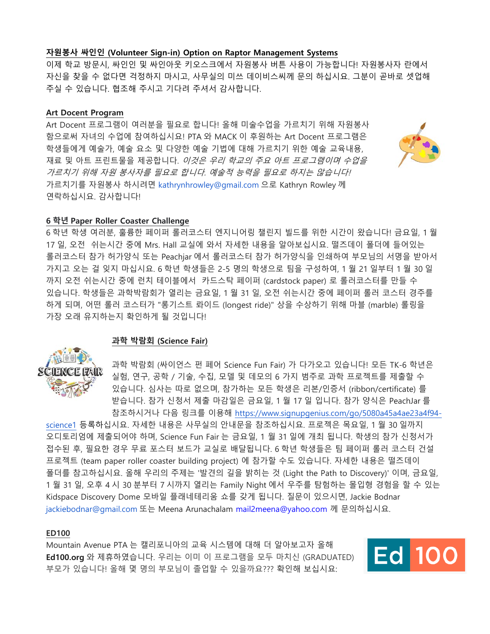### **자원봉사 싸인인 (Volunteer Sign-in) Option on Raptor Management Systems**

이제 학교 방문시, 싸인인 및 싸인아웃 키오스크에서 자원봉사 버튼 사용이 가능합니다! 자원봉사자 란에서 자신을 찾을 수 없다면 걱정하지 마시고, 사무실의 미쓰 데이비스씨께 문의 하십시요. 그분이 곧바로 셋업해 주실 수 있습니다. 협조해 주시고 기다려 주셔서 감사합니다.

### **Art Docent Program**

Art Docent 프로그램이 여러분을 필요로 합니다! 올해 미술수업을 가르치기 위해 자원봉사 함으로써 자녀의 수업에 참여하십시요! PTA 와 MACK 이 후원하는 Art Docent 프로그램은 학생들에게 예술가, 예술 요소 및 다양한 예술 기법에 대해 가르치기 위한 예술 교육내용, 재료 및 아트 프린트물을 제공합니다. 이것은 우리 학교의 주요 아트 프로그램이며 수업을 가르치기 위해 자원 봉사자를 필요로 합니다. 예술적 능력을 필요로 하지는 않습니다! 가르치기를 자원봉사 하시려면 kathrynhrowley@gmail.com 으로 Kathryn Rowley 께 연락하십시요. 감사합니다!



# **6 학년 Paper Roller Coaster Challenge**

6 학년 학생 여러분, 훌륭한 페이퍼 롤러코스터 엔지니어링 챌린지 빌드를 위한 시간이 왔습니다! 금요일, 1 월 17 일, 오전 쉬는시간 중에 Mrs. Hall 교실에 와서 자세한 내용을 알아보십시요. 떨즈데이 폴더에 들어있는 롤러코스터 참가 허가양식 또는 Peachjar 에서 롤러코스터 참가 허가양식을 인쇄하여 부모님의 서명을 받아서 가지고 오는 걸 잊지 마십시요. 6 학년 학생들은 2-5 명의 학생으로 팀을 구성하여, 1 월 21 일부터 1 월 30 일 까지 오전 쉬는시간 중에 런치 테이블에서 카드스탁 페이퍼 (cardstock paper) 로 롤러코스터를 만들 수 있습니다. 학생들은 과학박람회가 열리는 금요일, 1 월 31 일, 오전 쉬는시간 중에 페이퍼 롤러 코스터 경주를 하게 되며, 어떤 롤러 코스터가 "롱기스트 롸이드 (longest ride)" 상을 수상하기 위해 마블 (marble) 롤링을 가장 오래 유지하는지 확인하게 될 것입니다!

### **과학 박람회 (Science Fair)**



과학 박람회 (싸이언스 펀 페어 Science Fun Fair) 가 다가오고 있습니다! 모든 TK-6 학년은 실험, 연구, 공학 / 기술, 수집, 모델 및 데모의 6 가지 범주로 과학 프로젝트를 제출할 수 있습니다. 심사는 따로 없으며, 참가하는 모든 학생은 리본/인증서 (ribbon/certificate) 를 받습니다. 참가 신청서 제출 마감일은 금요일, 1 월 17 일 입니다. 참가 양식은 PeachJar 를 참조하시거나 다음 링크를 이용해 [https://www.signupgenius.com/go/5080a45a4ae23a4f94-](https://www.signupgenius.com/go/5080a45a4ae23a4f94-science1)

[science1](https://www.signupgenius.com/go/5080a45a4ae23a4f94-science1) 등록하십시요. 자세한 내용은 사무실의 안내문을 참조하십시요. 프로젝은 목요일, 1 월 30 일까지 오디토리엄에 제출되어야 하며, Science Fun Fair 는 금요일, 1 월 31 일에 개최 됩니다. 학생의 참가 신청서가 접수된 후, 필요한 경우 무료 포스터 보드가 교실로 배달됩니다. 6 학년 학생들은 팀 페이퍼 롤러 코스터 건설 프로젝트 (team paper roller coaster building project) 에 참가할 수도 있습니다. 자세한 내용은 떨즈데이 폴더를 참고하십시요. 올해 우리의 주제는 '발견의 길을 밝히는 것 (Light the Path to Discovery)' 이며, 금요일, 1 월 31 일, 오후 4 시 30 분부터 7 시까지 열리는 Family Night 에서 우주를 탐험하는 몰입형 경험을 할 수 있는 Kidspace Discovery Dome 모바일 플래네테리움 쇼를 갖게 됩니다. 질문이 있으시면, Jackie Bodnar jackiebodnar@gmail.com 또는 Meena Arunachalam [mail2meena@yahoo.com](mailto:mail2meena@yahoo.com) 께 문의하십시요.

# **ED100**

Mountain Avenue PTA 는 캘리포니아의 교육 시스템에 대해 더 알아보고자 올해 **Ed100.org** 와 제휴하였습니다. 우리는 이미 이 프로그램을 모두 마치신 (GRADUATED) 부모가 있습니다! 올해 몇 명의 부모님이 졸업할 수 있을까요??? 확인해 보십시요: